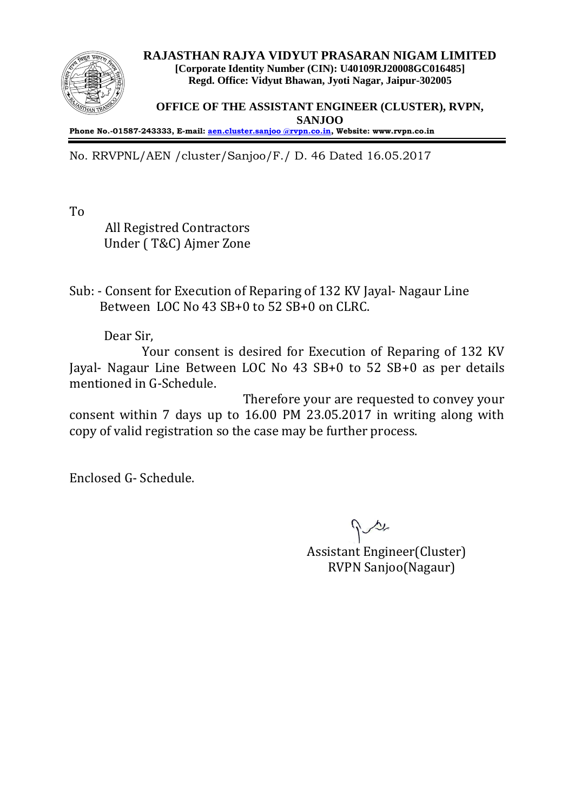

**RAJASTHAN RAJYA VIDYUT PRASARAN NIGAM LIMITED [Corporate Identity Number (CIN): U40109RJ20008GC016485] Regd. Office: Vidyut Bhawan, Jyoti Nagar, Jaipur-302005**

**OFFICE OF THE ASSISTANT ENGINEER (CLUSTER), RVPN, SANJOO**

**Phone No.-01587-243333, E-mail[: aen.cluster.sanjoo @rvpn.co.in,](http://aen.cluster.sanjoo%20@rvpn.co.in/) Website: www.rvpn.co.in**

No. RRVPNL/AEN /cluster/Sanjoo/F./ D. 46 Dated 16.05.2017

To

 All Registred Contractors Under ( T&C) Ajmer Zone

Sub: - Consent for Execution of Reparing of 132 KV Jayal- Nagaur Line Between LOC No 43 SB+0 to 52 SB+0 on CLRC.

Dear Sir,

Your consent is desired for Execution of Reparing of 132 KV Jayal- Nagaur Line Between LOC No 43 SB+0 to 52 SB+0 as per details mentioned in G-Schedule.

Therefore your are requested to convey your consent within 7 days up to 16.00 PM 23.05.2017 in writing along with copy of valid registration so the case may be further process.

Enclosed G- Schedule.

 Assistant Engineer(Cluster) RVPN Sanjoo(Nagaur)